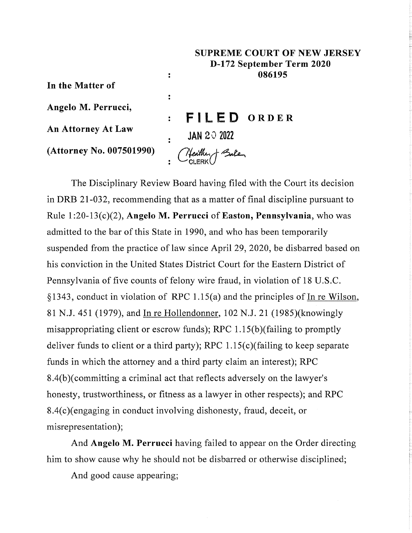## **SUPREME COURT OF NEW JERSEY D-172 September Term 2020 086195**

**In the Matter of**

**Angelo M. Perrucci,**

**An Attorney At Law**

**(Attorney No. 007501990)**

**: FILED ORDER**  $\cdot$  **JAN 20 2022** (Neather ) Bate

 $\ddot{\cdot}$ 

 $\ddot{\cdot}$ 

The Disciplinary Review Board having filed with the Court its decision in DRB 21-032, recommending that as a matter of final discipline pursuant to Rule 1:20-13(c)(2), Angelo M. **Perrucci of Easton, Pennsylvania,** who was admitted to the bar of this State in 1990, and who has been temporarily suspended from the practice of law since April 29, 2020, be disbarred based on his conviction in the United States District Court for the Eastern District of Pennsylvania of five counts of felony wire fraud, in violation of 18 U.S.C. § 1343, conduct in violation of RPC 1.15(a) and the principles of In re Wilson, 81 N.J. 451 (1979), and In re Hollendonner, 102 N.J. 21 (1985)(knowingly misappropriating client or escrow funds); RPC 1.15(b)(failing to promptly deliver funds to client or a third party); RPC 1.15(c)(failing to keep separate funds in which the attorney and a third party claim an interest); RPC 8.4(b)(committing a criminal act that reflects adversely on the lawyer's honesty, trustworthiness, or fitness as a lawyer in other respects); and RPC 8.4(c)(engaging in conduct involving dishonesty, fraud, deceit, or misrepresentation);

And Angelo M. Perrucci having failed to appear on the Order directing him to show cause why he should not be disbarred or otherwise disciplined;

And good cause appearing;